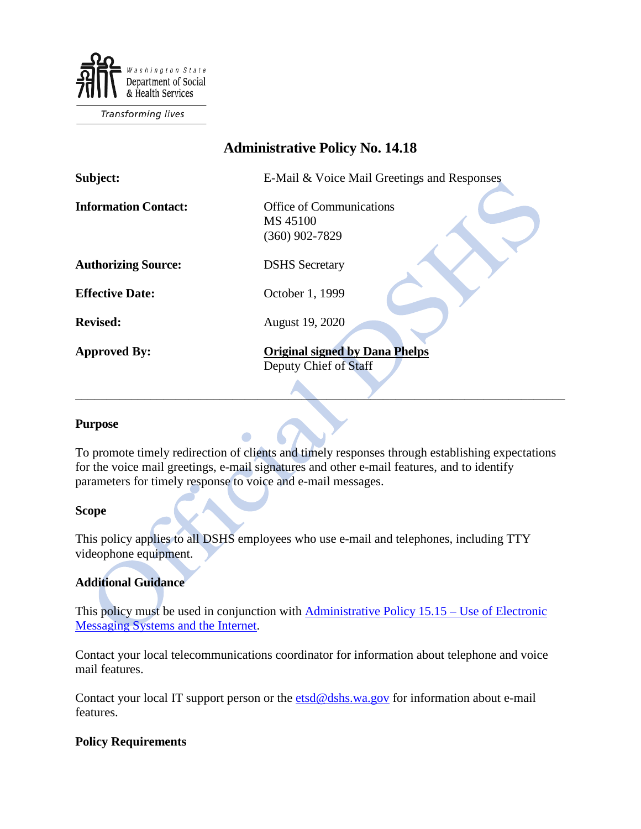

**Transforming lives** 

# **Administrative Policy No. 14.18**

| Subject:                    | E-Mail & Voice Mail Greetings and Responses                     |
|-----------------------------|-----------------------------------------------------------------|
| <b>Information Contact:</b> | <b>Office of Communications</b><br>MS 45100<br>$(360)$ 902-7829 |
| <b>Authorizing Source:</b>  | <b>DSHS</b> Secretary                                           |
| <b>Effective Date:</b>      | October 1, 1999                                                 |
| <b>Revised:</b>             | August 19, 2020                                                 |
| <b>Approved By:</b>         | <b>Original signed by Dana Phelps</b><br>Deputy Chief of Staff  |

### **Purpose**

To promote timely redirection of clients and timely responses through establishing expectations for the voice mail greetings, e-mail signatures and other e-mail features, and to identify parameters for timely response to voice and e-mail messages.

 $\qquad \qquad$ 

### **Scope**

This policy applies to all DSHS employees who use e-mail and telephones, including TTY videophone equipment.

### **Additional Guidance**

This policy must be used in conjunction with [Administrative Policy 15.15 –](http://one.dshs.wa.lcl/Policies/Administrative/DSHS-AP-15-15.pdf) Use of Electronic [Messaging Systems and the Internet.](http://one.dshs.wa.lcl/Policies/Administrative/DSHS-AP-15-15.pdf)

Contact your local telecommunications coordinator for information about telephone and voice mail features.

Contact your local IT support person or the [etsd@dshs.wa.gov](mailto:etsd@dshs.wa.gov) for information about e-mail features.

### **Policy Requirements**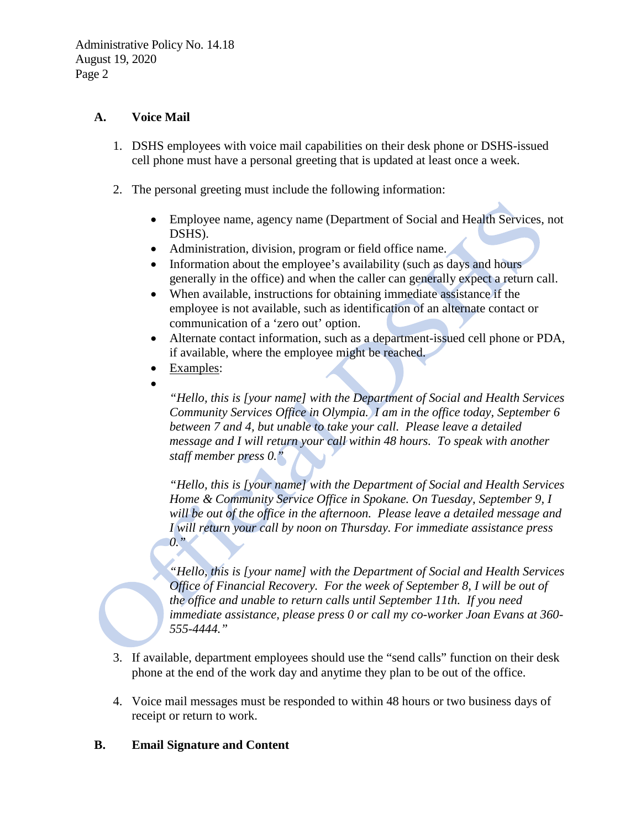# **A. Voice Mail**

- 1. DSHS employees with voice mail capabilities on their desk phone or DSHS-issued cell phone must have a personal greeting that is updated at least once a week.
- 2. The personal greeting must include the following information:
	- Employee name, agency name (Department of Social and Health Services, not DSHS).
	- Administration, division, program or field office name.
	- Information about the employee's availability (such as days and hours generally in the office) and when the caller can generally expect a return call.
	- When available, instructions for obtaining immediate assistance if the employee is not available, such as identification of an alternate contact or communication of a 'zero out' option.
	- Alternate contact information, such as a department-issued cell phone or PDA, if available, where the employee might be reached.
	- Examples:
	- •

*"Hello, this is [your name] with the Department of Social and Health Services Community Services Office in Olympia. I am in the office today, September 6 between 7 and 4, but unable to take your call. Please leave a detailed message and I will return your call within 48 hours. To speak with another staff member press 0."*

*"Hello, this is [your name] with the Department of Social and Health Services Home & Community Service Office in Spokane. On Tuesday, September 9, I will be out of the office in the afternoon. Please leave a detailed message and I will return your call by noon on Thursday. For immediate assistance press 0."*

*"Hello, this is [your name] with the Department of Social and Health Services Office of Financial Recovery. For the week of September 8, I will be out of the office and unable to return calls until September 11th. If you need immediate assistance, please press 0 or call my co-worker Joan Evans at 360- 555-4444."*

- 3. If available, department employees should use the "send calls" function on their desk phone at the end of the work day and anytime they plan to be out of the office.
- 4. Voice mail messages must be responded to within 48 hours or two business days of receipt or return to work.

# **B. Email Signature and Content**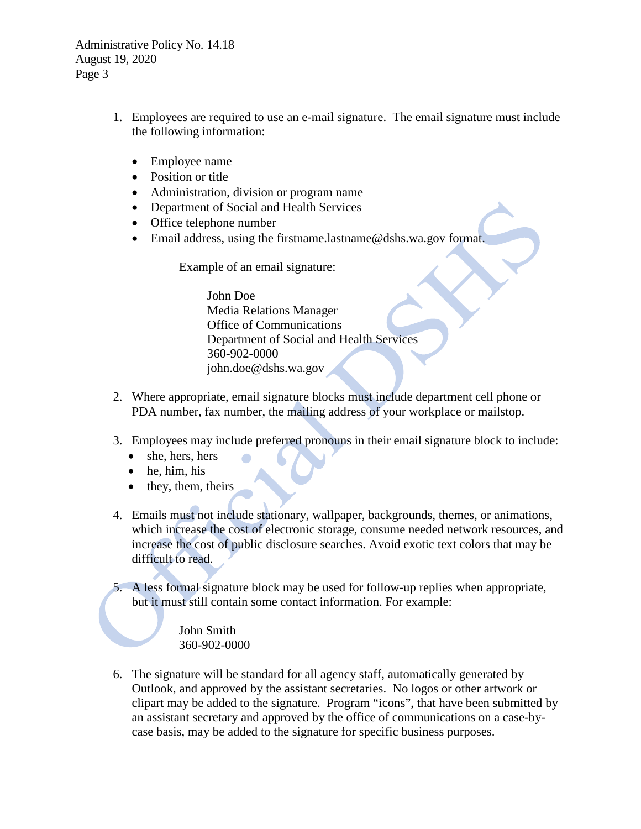Administrative Policy No. 14.18 August 19, 2020 Page 3

- 1. Employees are required to use an e-mail signature. The email signature must include the following information:
	- Employee name
	- Position or title
	- Administration, division or program name
	- Department of Social and Health Services
	- Office telephone number
	- Email address, using the firstname.lastname@dshs.wa.gov format.

Example of an email signature:

John Doe Media Relations Manager Office of Communications Department of Social and Health Services 360-902-0000 john.doe@dshs.wa.gov

- 2. Where appropriate, email signature blocks must include department cell phone or PDA number, fax number, the mailing address of your workplace or mailstop.
- 3. Employees may include preferred pronouns in their email signature block to include:
	- she, hers, hers
	- he, him, his
	- they, them, theirs
- 4. Emails must not include stationary, wallpaper, backgrounds, themes, or animations, which increase the cost of electronic storage, consume needed network resources, and increase the cost of public disclosure searches. Avoid exotic text colors that may be difficult to read.

5. A less formal signature block may be used for follow-up replies when appropriate, but it must still contain some contact information. For example:

> John Smith 360-902-0000

6. The signature will be standard for all agency staff, automatically generated by Outlook, and approved by the assistant secretaries. No logos or other artwork or clipart may be added to the signature. Program "icons", that have been submitted by an assistant secretary and approved by the office of communications on a case-bycase basis, may be added to the signature for specific business purposes.